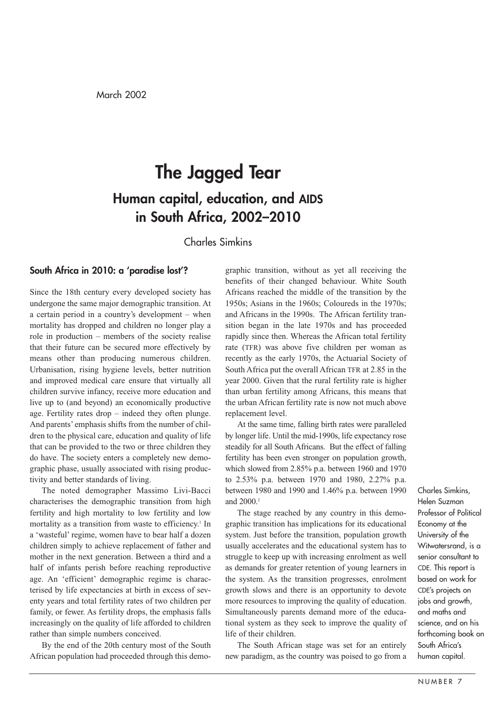# **The Jagged Tear Human capital, education, and AIDS in South Africa, 2002–2010**

# Charles Simkins

## **South Africa in 2010: a 'paradise lost'?**

Since the 18th century every developed society has undergone the same major demographic transition. At a certain period in a country's development – when mortality has dropped and children no longer play a role in production – members of the society realise that their future can be secured more effectively by means other than producing numerous children. Urbanisation, rising hygiene levels, better nutrition and improved medical care ensure that virtually all children survive infancy, receive more education and live up to (and beyond) an economically productive age. Fertility rates drop – indeed they often plunge. And parents' emphasis shifts from the number of children to the physical care, education and quality of life that can be provided to the two or three children they do have. The society enters a completely new demographic phase, usually associated with rising productivity and better standards of living.

The noted demographer Massimo Livi-Bacci characterises the demographic transition from high fertility and high mortality to low fertility and low mortality as a transition from waste to efficiency.<sup>1</sup> In a 'wasteful' regime, women have to bear half a dozen children simply to achieve replacement of father and mother in the next generation. Between a third and a half of infants perish before reaching reproductive age. An 'efficient' demographic regime is characterised by life expectancies at birth in excess of seventy years and total fertility rates of two children per family, or fewer. As fertility drops, the emphasis falls increasingly on the quality of life afforded to children rather than simple numbers conceived.

By the end of the 20th century most of the South African population had proceeded through this demographic transition, without as yet all receiving the benefits of their changed behaviour. White South Africans reached the middle of the transition by the 1950s; Asians in the 1960s; Coloureds in the 1970s; and Africans in the 1990s. The African fertility transition began in the late 1970s and has proceeded rapidly since then. Whereas the African total fertility rate (TFR) was above five children per woman as recently as the early 1970s, the Actuarial Society of South Africa put the overall African TFR at 2.85 in the year 2000. Given that the rural fertility rate is higher than urban fertility among Africans, this means that the urban African fertility rate is now not much above replacement level.

At the same time, falling birth rates were paralleled by longer life. Until the mid-1990s, life expectancy rose steadily for all South Africans. But the effect of falling fertility has been even stronger on population growth, which slowed from 2.85% p.a. between 1960 and 1970 to 2.53% p.a. between 1970 and 1980, 2.27% p.a. between 1980 and 1990 and 1.46% p.a. between 1990 and 2000.<sup>2</sup>

The stage reached by any country in this demographic transition has implications for its educational system. Just before the transition, population growth usually accelerates and the educational system has to struggle to keep up with increasing enrolment as well as demands for greater retention of young learners in the system. As the transition progresses, enrolment growth slows and there is an opportunity to devote more resources to improving the quality of education. Simultaneously parents demand more of the educational system as they seek to improve the quality of life of their children.

The South African stage was set for an entirely new paradigm, as the country was poised to go from a Charles Simkins, Helen Suzman Professor of Political Economy at the University of the Witwatersrand, is a senior consultant to CDE. This report is based on work for CDE's projects on jobs and growth, and maths and science, and on his forthcoming book on South Africa's human capital.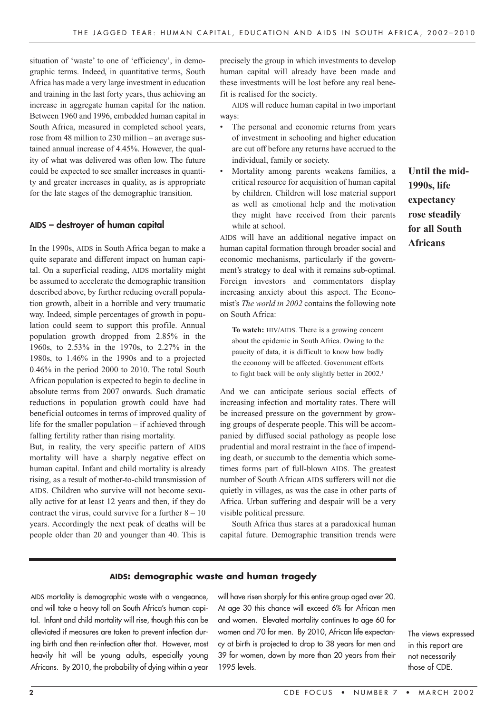situation of 'waste' to one of 'efficiency', in demographic terms. Indeed, in quantitative terms, South Africa has made a very large investment in education and training in the last forty years, thus achieving an increase in aggregate human capital for the nation. Between 1960 and 1996, embedded human capital in South Africa, measured in completed school years, rose from 48 million to 230 million – an average sustained annual increase of 4.45%. However, the quality of what was delivered was often low. The future could be expected to see smaller increases in quantity and greater increases in quality, as is appropriate for the late stages of the demographic transition.

#### **AIDS – destroyer of human capital**

In the 1990s, AIDS in South Africa began to make a quite separate and different impact on human capital. On a superficial reading, AIDS mortality might be assumed to accelerate the demographic transition described above, by further reducing overall population growth, albeit in a horrible and very traumatic way. Indeed, simple percentages of growth in population could seem to support this profile. Annual population growth dropped from 2.85% in the 1960s, to 2.53% in the 1970s, to 2.27% in the 1980s, to 1.46% in the 1990s and to a projected 0.46% in the period 2000 to 2010. The total South African population is expected to begin to decline in absolute terms from 2007 onwards. Such dramatic reductions in population growth could have had beneficial outcomes in terms of improved quality of life for the smaller population – if achieved through falling fertility rather than rising mortality.

But, in reality, the very specific pattern of AIDS mortality will have a sharply negative effect on human capital. Infant and child mortality is already rising, as a result of mother-to-child transmission of AIDS. Children who survive will not become sexually active for at least 12 years and then, if they do contract the virus, could survive for a further  $8 - 10$ years. Accordingly the next peak of deaths will be people older than 20 and younger than 40. This is

precisely the group in which investments to develop human capital will already have been made and these investments will be lost before any real benefit is realised for the society.

AIDS will reduce human capital in two important ways:

- The personal and economic returns from years of investment in schooling and higher education are cut off before any returns have accrued to the individual, family or society.
- Mortality among parents weakens families, a critical resource for acquisition of human capital by children. Children will lose material support as well as emotional help and the motivation they might have received from their parents while at school.

AIDS will have an additional negative impact on human capital formation through broader social and economic mechanisms, particularly if the government's strategy to deal with it remains sub-optimal. Foreign investors and commentators display increasing anxiety about this aspect. The Economist's *The world in 2002* contains the following note on South Africa:

**To watch:** HIV/AIDS. There is a growing concern about the epidemic in South Africa. Owing to the paucity of data, it is difficult to know how badly the economy will be affected. Government efforts to fight back will be only slightly better in 2002.<sup>3</sup>

And we can anticipate serious social effects of increasing infection and mortality rates. There will be increased pressure on the government by growing groups of desperate people. This will be accompanied by diffused social pathology as people lose prudential and moral restraint in the face of impending death, or succumb to the dementia which sometimes forms part of full-blown AIDS. The greatest number of South African AIDS sufferers will not die quietly in villages, as was the case in other parts of Africa. Urban suffering and despair will be a very visible political pressure.

South Africa thus stares at a paradoxical human capital future. Demographic transition trends were

#### **AIDS: demographic waste and human tragedy**

AIDS mortality is demographic waste with a vengeance, and will take a heavy toll on South Africa's human capital. Infant and child mortality will rise, though this can be alleviated if measures are taken to prevent infection during birth and then re-infection after that. However, most heavily hit will be young adults, especially young Africans. By 2010, the probability of dying within a year

will have risen sharply for this entire group aged over 20. At age 30 this chance will exceed 6% for African men and women. Elevated mortality continues to age 60 for women and 70 for men. By 2010, African life expectancy at birth is projected to drop to 38 years for men and 39 for women, down by more than 20 years from their 1995 levels.

The views expressed in this report are not necessarily those of CDE.

**Until the mid-1990s, life expectancy rose steadily for all South Africans**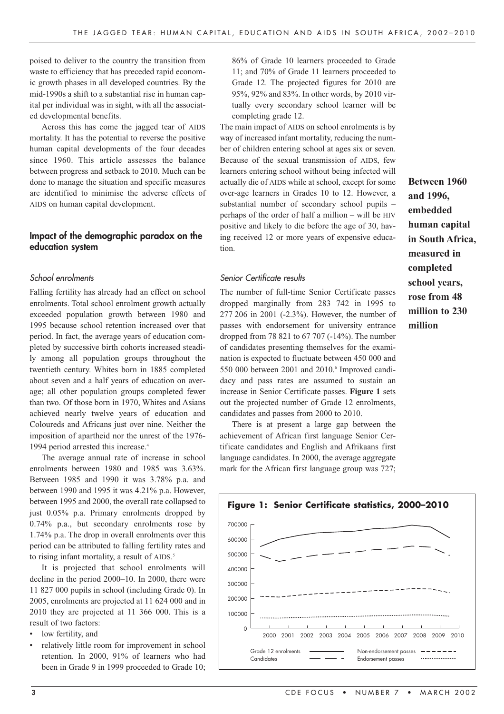poised to deliver to the country the transition from waste to efficiency that has preceded rapid economic growth phases in all developed countries. By the mid-1990s a shift to a substantial rise in human capital per individual was in sight, with all the associated developmental benefits.

Across this has come the jagged tear of AIDS mortality. It has the potential to reverse the positive human capital developments of the four decades since 1960. This article assesses the balance between progress and setback to 2010. Much can be done to manage the situation and specific measures are identified to minimise the adverse effects of AIDS on human capital development.

#### **Impact of the demographic paradox on the education system**

#### School enrolments

Falling fertility has already had an effect on school enrolments. Total school enrolment growth actually exceeded population growth between 1980 and 1995 because school retention increased over that period. In fact, the average years of education completed by successive birth cohorts increased steadily among all population groups throughout the twentieth century. Whites born in 1885 completed about seven and a half years of education on average; all other population groups completed fewer than two. Of those born in 1970, Whites and Asians achieved nearly twelve years of education and Coloureds and Africans just over nine. Neither the imposition of apartheid nor the unrest of the 1976- 1994 period arrested this increase.<sup>4</sup>

The average annual rate of increase in school enrolments between 1980 and 1985 was 3.63%. Between 1985 and 1990 it was 3.78% p.a. and between 1990 and 1995 it was 4.21% p.a. However, between 1995 and 2000, the overall rate collapsed to just 0.05% p.a. Primary enrolments dropped by 0.74% p.a., but secondary enrolments rose by 1.74% p.a. The drop in overall enrolments over this period can be attributed to falling fertility rates and to rising infant mortality, a result of AIDS. 5

It is projected that school enrolments will decline in the period 2000–10. In 2000, there were 11 827 000 pupils in school (including Grade 0). In 2005, enrolments are projected at 11 624 000 and in 2010 they are projected at 11 366 000. This is a result of two factors:

- low fertility, and
- relatively little room for improvement in school retention. In 2000, 91% of learners who had been in Grade 9 in 1999 proceeded to Grade 10;

86% of Grade 10 learners proceeded to Grade 11; and 70% of Grade 11 learners proceeded to Grade 12. The projected figures for 2010 are 95%, 92% and 83%. In other words, by 2010 virtually every secondary school learner will be completing grade 12.

The main impact of AIDS on school enrolments is by way of increased infant mortality, reducing the number of children entering school at ages six or seven. Because of the sexual transmission of AIDS, few learners entering school without being infected will actually die of AIDS while at school, except for some over-age learners in Grades 10 to 12. However, a substantial number of secondary school pupils – perhaps of the order of half a million – will be HIV positive and likely to die before the age of 30, having received 12 or more years of expensive education.

Senior Certificate results

The number of full-time Senior Certificate passes dropped marginally from 283 742 in 1995 to 277 206 in 2001 (-2.3%). However, the number of passes with endorsement for university entrance dropped from 78 821 to 67 707 (-14%). The number of candidates presenting themselves for the examination is expected to fluctuate between 450 000 and 550 000 between 2001 and 2010.<sup>6</sup> Improved candidacy and pass rates are assumed to sustain an increase in Senior Certificate passes. **Figure 1** sets out the projected number of Grade 12 enrolments, candidates and passes from 2000 to 2010.

There is at present a large gap between the achievement of African first language Senior Certificate candidates and English and Afrikaans first language candidates. In 2000, the average aggregate mark for the African first language group was 727;



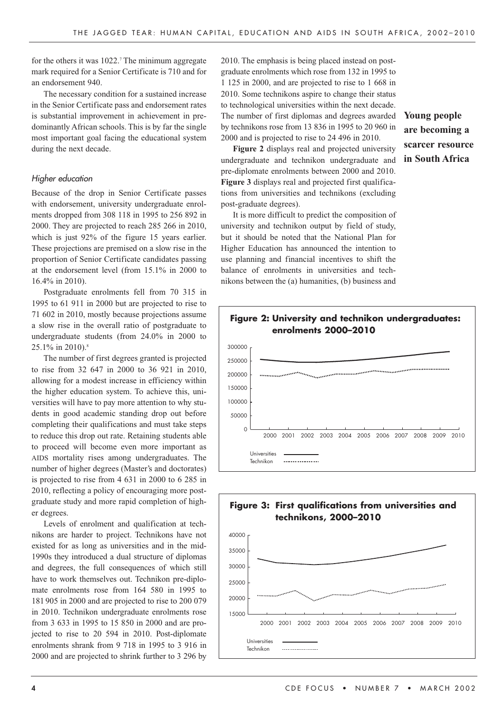for the others it was  $1022$ .<sup>7</sup> The minimum aggregate mark required for a Senior Certificate is 710 and for an endorsement 940.

The necessary condition for a sustained increase in the Senior Certificate pass and endorsement rates is substantial improvement in achievement in predominantly African schools. This is by far the single most important goal facing the educational system during the next decade.

#### Higher education

Because of the drop in Senior Certificate passes with endorsement, university undergraduate enrolments dropped from 308 118 in 1995 to 256 892 in 2000. They are projected to reach 285 266 in 2010, which is just 92% of the figure 15 years earlier. These projections are premised on a slow rise in the proportion of Senior Certificate candidates passing at the endorsement level (from 15.1% in 2000 to 16.4% in 2010).

Postgraduate enrolments fell from 70 315 in 1995 to 61 911 in 2000 but are projected to rise to 71 602 in 2010, mostly because projections assume a slow rise in the overall ratio of postgraduate to undergraduate students (from 24.0% in 2000 to  $25.1\%$  in 2010).<sup>8</sup>

The number of first degrees granted is projected to rise from 32 647 in 2000 to 36 921 in 2010, allowing for a modest increase in efficiency within the higher education system. To achieve this, universities will have to pay more attention to why students in good academic standing drop out before completing their qualifications and must take steps to reduce this drop out rate. Retaining students able to proceed will become even more important as AIDS mortality rises among undergraduates. The number of higher degrees (Master's and doctorates) is projected to rise from 4 631 in 2000 to 6 285 in 2010, reflecting a policy of encouraging more postgraduate study and more rapid completion of higher degrees.

Levels of enrolment and qualification at technikons are harder to project. Technikons have not existed for as long as universities and in the mid-1990s they introduced a dual structure of diplomas and degrees, the full consequences of which still have to work themselves out. Technikon pre-diplomate enrolments rose from 164 580 in 1995 to 181 905 in 2000 and are projected to rise to 200 079 in 2010. Technikon undergraduate enrolments rose from 3 633 in 1995 to 15 850 in 2000 and are projected to rise to 20 594 in 2010. Post-diplomate enrolments shrank from 9 718 in 1995 to 3 916 in 2000 and are projected to shrink further to 3 296 by

2010. The emphasis is being placed instead on postgraduate enrolments which rose from 132 in 1995 to 1 125 in 2000, and are projected to rise to 1 668 in 2010. Some technikons aspire to change their status to technological universities within the next decade. The number of first diplomas and degrees awarded by technikons rose from 13 836 in 1995 to 20 960 in 2000 and is projected to rise to 24 496 in 2010.

**Figure 2** displays real and projected university undergraduate and technikon undergraduate and pre-diplomate enrolments between 2000 and 2010. **Figure 3** displays real and projected first qualifications from universities and technikons (excluding post-graduate degrees).

It is more difficult to predict the composition of university and technikon output by field of study, but it should be noted that the National Plan for Higher Education has announced the intention to use planning and financial incentives to shift the balance of enrolments in universities and technikons between the (a) humanities, (b) business and

**Young people are becoming a scarcer resource in South Africa**



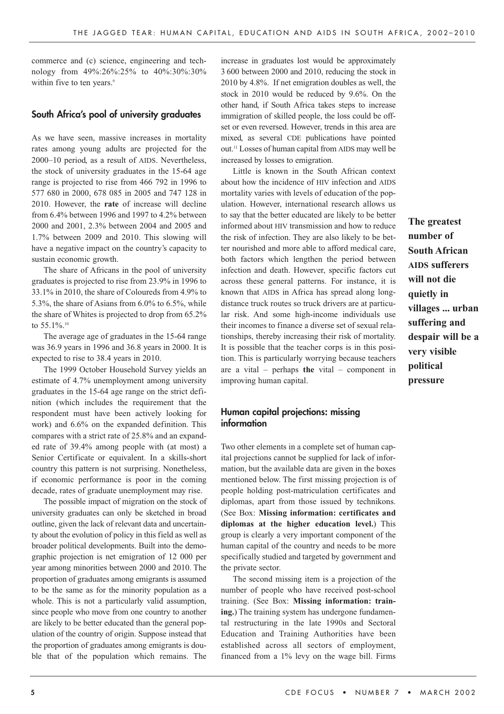commerce and (c) science, engineering and technology from 49%:26%:25% to 40%:30%:30% within five to ten years.<sup>9</sup>

#### **South Africa's pool of university graduates**

As we have seen, massive increases in mortality rates among young adults are projected for the 2000–10 period, as a result of AIDS. Nevertheless, the stock of university graduates in the 15-64 age range is projected to rise from 466 792 in 1996 to 577 680 in 2000, 678 085 in 2005 and 747 128 in 2010. However, the **rate** of increase will decline from 6.4% between 1996 and 1997 to 4.2% between 2000 and 2001, 2.3% between 2004 and 2005 and 1.7% between 2009 and 2010. This slowing will have a negative impact on the country's capacity to sustain economic growth.

The share of Africans in the pool of university graduates is projected to rise from 23.9% in 1996 to 33.1% in 2010, the share of Coloureds from 4.9% to 5.3%, the share of Asians from 6.0% to 6.5%, while the share of Whites is projected to drop from 65.2% to 55.1%.<sup>10</sup>

The average age of graduates in the 15-64 range was 36.9 years in 1996 and 36.8 years in 2000. It is expected to rise to 38.4 years in 2010.

The 1999 October Household Survey yields an estimate of 4.7% unemployment among university graduates in the 15-64 age range on the strict definition (which includes the requirement that the respondent must have been actively looking for work) and 6.6% on the expanded definition. This compares with a strict rate of 25.8% and an expanded rate of 39.4% among people with (at most) a Senior Certificate or equivalent. In a skills-short country this pattern is not surprising. Nonetheless, if economic performance is poor in the coming decade, rates of graduate unemployment may rise.

The possible impact of migration on the stock of university graduates can only be sketched in broad outline, given the lack of relevant data and uncertainty about the evolution of policy in this field as well as broader political developments. Built into the demographic projection is net emigration of 12 000 per year among minorities between 2000 and 2010. The proportion of graduates among emigrants is assumed to be the same as for the minority population as a whole. This is not a particularly valid assumption, since people who move from one country to another are likely to be better educated than the general population of the country of origin. Suppose instead that the proportion of graduates among emigrants is double that of the population which remains. The

increase in graduates lost would be approximately 3 600 between 2000 and 2010, reducing the stock in 2010 by 4.8%. If net emigration doubles as well, the stock in 2010 would be reduced by 9.6%. On the other hand, if South Africa takes steps to increase immigration of skilled people, the loss could be offset or even reversed. However, trends in this area are mixed, as several CDE publications have pointed out.11 Losses of human capital from AIDS may well be increased by losses to emigration.

Little is known in the South African context about how the incidence of HIV infection and AIDS mortality varies with levels of education of the population. However, international research allows us to say that the better educated are likely to be better informed about HIV transmission and how to reduce the risk of infection. They are also likely to be better nourished and more able to afford medical care, both factors which lengthen the period between infection and death. However, specific factors cut across these general patterns. For instance, it is known that AIDS in Africa has spread along longdistance truck routes so truck drivers are at particular risk. And some high-income individuals use their incomes to finance a diverse set of sexual relationships, thereby increasing their risk of mortality. It is possible that the teacher corps is in this position. This is particularly worrying because teachers are a vital – perhaps **the** vital – component in improving human capital.

## **Human capital projections: missing information**

Two other elements in a complete set of human capital projections cannot be supplied for lack of information, but the available data are given in the boxes mentioned below. The first missing projection is of people holding post-matriculation certificates and diplomas, apart from those issued by technikons. (See Box: **Missing information: certificates and diplomas at the higher education level.**) This group is clearly a very important component of the human capital of the country and needs to be more specifically studied and targeted by government and the private sector.

The second missing item is a projection of the number of people who have received post-school training. (See Box: **Missing information: training.**) The training system has undergone fundamental restructuring in the late 1990s and Sectoral Education and Training Authorities have been established across all sectors of employment, financed from a 1% levy on the wage bill. Firms

**The greatest number of South African AIDS sufferers will not die quietly in villages ... urban suffering and despair will be a very visible political pressure**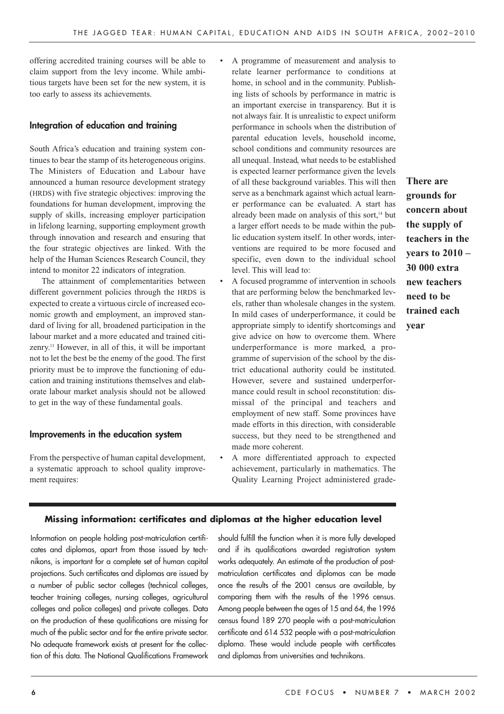offering accredited training courses will be able to claim support from the levy income. While ambitious targets have been set for the new system, it is too early to assess its achievements.

#### **Integration of education and training**

South Africa's education and training system continues to bear the stamp of its heterogeneous origins. The Ministers of Education and Labour have announced a human resource development strategy (HRDS) with five strategic objectives: improving the foundations for human development, improving the supply of skills, increasing employer participation in lifelong learning, supporting employment growth through innovation and research and ensuring that the four strategic objectives are linked. With the help of the Human Sciences Research Council, they intend to monitor 22 indicators of integration.

The attainment of complementarities between different government policies through the HRDS is expected to create a virtuous circle of increased economic growth and employment, an improved standard of living for all, broadened participation in the labour market and a more educated and trained citizenry. <sup>13</sup> However, in all of this, it will be important not to let the best be the enemy of the good. The first priority must be to improve the functioning of education and training institutions themselves and elaborate labour market analysis should not be allowed to get in the way of these fundamental goals.

#### **Improvements in the education system**

From the perspective of human capital development, a systematic approach to school quality improvement requires:

- A programme of measurement and analysis to relate learner performance to conditions at home, in school and in the community. Publishing lists of schools by performance in matric is an important exercise in transparency. But it is not always fair. It is unrealistic to expect uniform performance in schools when the distribution of parental education levels, household income, school conditions and community resources are all unequal. Instead, what needs to be established is expected learner performance given the levels of all these background variables. This will then serve as a benchmark against which actual learner performance can be evaluated. A start has already been made on analysis of this sort,<sup>14</sup> but a larger effort needs to be made within the public education system itself. In other words, interventions are required to be more focused and specific, even down to the individual school level. This will lead to:
- A focused programme of intervention in schools that are performing below the benchmarked levels, rather than wholesale changes in the system. In mild cases of underperformance, it could be appropriate simply to identify shortcomings and give advice on how to overcome them. Where underperformance is more marked, a programme of supervision of the school by the district educational authority could be instituted. However, severe and sustained underperformance could result in school reconstitution: dismissal of the principal and teachers and employment of new staff. Some provinces have made efforts in this direction, with considerable success, but they need to be strengthened and made more coherent.
- A more differentiated approach to expected achievement, particularly in mathematics. The Quality Learning Project administered grade-

# **There are grounds for concern about the supply of teachers in the years to 2010 – 30 000 extra new teachers need to be trained each year**

#### **Missing information: certificates and diplomas at the higher education level**

Information on people holding post-matriculation certificates and diplomas, apart from those issued by technikons, is important for a complete set of human capital projections. Such certificates and diplomas are issued by a number of public sector colleges (technical colleges, teacher training colleges, nursing colleges, agricultural colleges and police colleges) and private colleges. Data on the production of these qualifications are missing for much of the public sector and for the entire private sector. No adequate framework exists at present for the collection of this data. The National Qualifications Framework

should fulfill the function when it is more fully developed and if its qualifications awarded registration system works adequately. An estimate of the production of postmatriculation certificates and diplomas can be made once the results of the 2001 census are available, by comparing them with the results of the 1996 census. Among people between the ages of 15 and 64, the 1996 census found 189 270 people with a post-matriculation certificate and 614 532 people with a post-matriculation diploma. These would include people with certificates and diplomas from universities and technikons.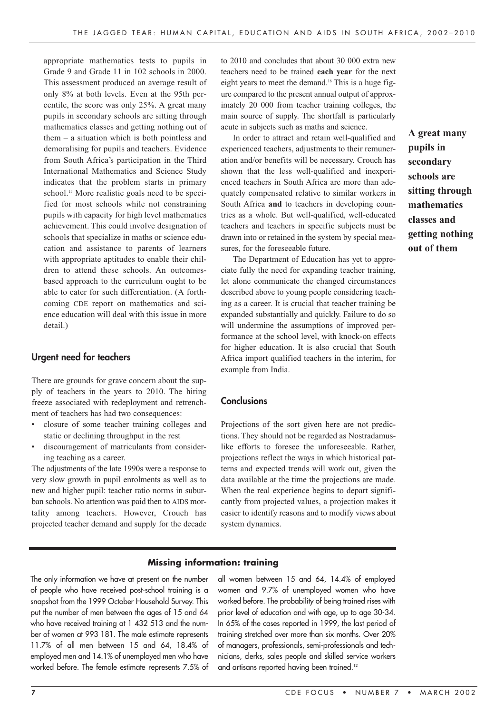appropriate mathematics tests to pupils in Grade 9 and Grade 11 in 102 schools in 2000. This assessment produced an average result of only 8% at both levels. Even at the 95th percentile, the score was only 25%. A great many pupils in secondary schools are sitting through mathematics classes and getting nothing out of them – a situation which is both pointless and demoralising for pupils and teachers. Evidence from South Africa's participation in the Third International Mathematics and Science Study indicates that the problem starts in primary school.<sup>15</sup> More realistic goals need to be specified for most schools while not constraining pupils with capacity for high level mathematics achievement. This could involve designation of schools that specialize in maths or science education and assistance to parents of learners with appropriate aptitudes to enable their children to attend these schools. An outcomesbased approach to the curriculum ought to be able to cater for such differentiation. (A forthcoming CDE report on mathematics and science education will deal with this issue in more detail.)

## **Urgent need for teachers**

There are grounds for grave concern about the supply of teachers in the years to 2010. The hiring freeze associated with redeployment and retrenchment of teachers has had two consequences:

- closure of some teacher training colleges and static or declining throughput in the rest
- discouragement of matriculants from considering teaching as a career.

The adjustments of the late 1990s were a response to very slow growth in pupil enrolments as well as to new and higher pupil: teacher ratio norms in suburban schools. No attention was paid then to AIDS mortality among teachers. However, Crouch has projected teacher demand and supply for the decade to 2010 and concludes that about 30 000 extra new teachers need to be trained **each year** for the next eight years to meet the demand.16 This is a huge figure compared to the present annual output of approximately 20 000 from teacher training colleges, the main source of supply. The shortfall is particularly acute in subjects such as maths and science.

In order to attract and retain well-qualified and experienced teachers, adjustments to their remuneration and/or benefits will be necessary. Crouch has shown that the less well-qualified and inexperienced teachers in South Africa are more than adequately compensated relative to similar workers in South Africa **and** to teachers in developing countries as a whole. But well-qualified, well-educated teachers and teachers in specific subjects must be drawn into or retained in the system by special measures, for the foreseeable future.

The Department of Education has yet to appreciate fully the need for expanding teacher training, let alone communicate the changed circumstances described above to young people considering teaching as a career. It is crucial that teacher training be expanded substantially and quickly. Failure to do so will undermine the assumptions of improved performance at the school level, with knock-on effects for higher education. It is also crucial that South Africa import qualified teachers in the interim, for example from India.

#### **Conclusions**

Projections of the sort given here are not predictions. They should not be regarded as Nostradamuslike efforts to foresee the unforeseeable. Rather, projections reflect the ways in which historical patterns and expected trends will work out, given the data available at the time the projections are made. When the real experience begins to depart significantly from projected values, a projection makes it easier to identify reasons and to modify views about system dynamics.

#### **Missing information: training**

The only information we have at present on the number of people who have received post-school training is a snapshot from the 1999 October Household Survey. This put the number of men between the ages of 15 and 64 who have received training at 1 432 513 and the number of women at 993 181. The male estimate represents 11.7% of all men between 15 and 64, 18.4% of employed men and 14.1% of unemployed men who have worked before. The female estimate represents 7.5% of all women between 15 and 64, 14.4% of employed women and 9.7% of unemployed women who have worked before. The probability of being trained rises with prior level of education and with age, up to age 30-34. In 65% of the cases reported in 1999, the last period of training stretched over more than six months. Over 20% of managers, professionals, semi-professionals and technicians, clerks, sales people and skilled service workers and artisans reported having been trained.<sup>12</sup>

**A great many pupils in secondary schools are sitting through mathematics classes and getting nothing out of them**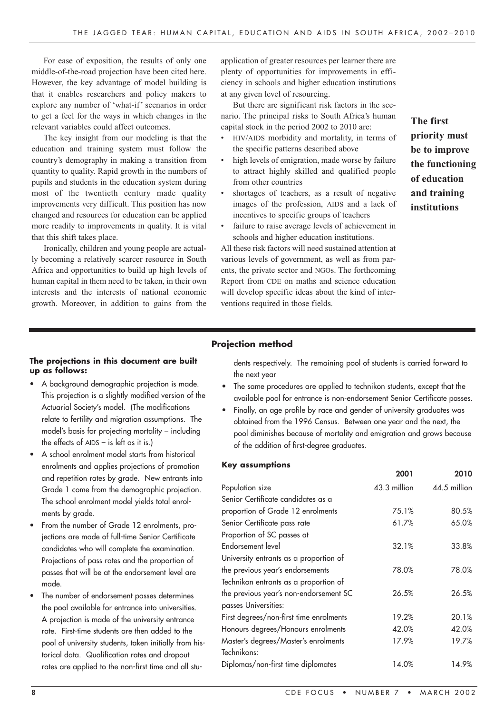For ease of exposition, the results of only one middle-of-the-road projection have been cited here. However, the key advantage of model building is that it enables researchers and policy makers to explore any number of 'what-if' scenarios in order to get a feel for the ways in which changes in the relevant variables could affect outcomes.

The key insight from our modeling is that the education and training system must follow the country's demography in making a transition from quantity to quality. Rapid growth in the numbers of pupils and students in the education system during most of the twentieth century made quality improvements very difficult. This position has now changed and resources for education can be applied more readily to improvements in quality. It is vital that this shift takes place.

Ironically, children and young people are actually becoming a relatively scarcer resource in South Africa and opportunities to build up high levels of human capital in them need to be taken, in their own interests and the interests of national economic growth. Moreover, in addition to gains from the

application of greater resources per learner there are plenty of opportunities for improvements in efficiency in schools and higher education institutions at any given level of resourcing.

But there are significant risk factors in the scenario. The principal risks to South Africa's human capital stock in the period 2002 to 2010 are:

- HIV/AIDS morbidity and mortality, in terms of the specific patterns described above
- high levels of emigration, made worse by failure to attract highly skilled and qualified people from other countries
- shortages of teachers, as a result of negative images of the profession, AIDS and a lack of incentives to specific groups of teachers
- failure to raise average levels of achievement in schools and higher education institutions.

All these risk factors will need sustained attention at various levels of government, as well as from parents, the private sector and NGOs. The forthcoming Report from CDE on maths and science education will develop specific ideas about the kind of interventions required in those fields.

**The first priority must be to improve the functioning of education and training institutions**

## **Projection method**

#### **The projections in this document are built up as follows:**

- A background demographic projection is made. This projection is a slightly modified version of the Actuarial Society's model. (The modifications relate to fertility and migration assumptions. The model's basis for projecting mortality – including the effects of AIDS – is left as it is.)
- A school enrolment model starts from historical enrolments and applies projections of promotion and repetition rates by grade. New entrants into Grade 1 come from the demographic projection. The school enrolment model yields total enrolments by grade.
- From the number of Grade 12 enrolments, projections are made of full-time Senior Certificate candidates who will complete the examination. Projections of pass rates and the proportion of passes that will be at the endorsement level are made.
- The number of endorsement passes determines the pool available for entrance into universities. A projection is made of the university entrance rate. First-time students are then added to the pool of university students, taken initially from historical data. Qualification rates and dropout rates are applied to the non-first time and all stu-

dents respectively. The remaining pool of students is carried forward to the next year

- The same procedures are applied to technikon students, except that the available pool for entrance is non-endorsement Senior Certificate passes.
- Finally, an age profile by race and gender of university graduates was obtained from the 1996 Census. Between one year and the next, the pool diminishes because of mortality and emigration and grows because of the addition of first-degree graduates.

#### **Key assumptions**

|                                         | 2001         | 2010         |
|-----------------------------------------|--------------|--------------|
| Population size                         | 43.3 million | 44.5 million |
| Senior Certificate candidates as a      |              |              |
| proportion of Grade 12 enrolments       | 75.1%        | 80.5%        |
| Senior Certificate pass rate            | 61.7%        | 65.0%        |
| Proportion of SC passes at              |              |              |
| Endorsement level                       | 32.1%        | 33.8%        |
| University entrants as a proportion of  |              |              |
| the previous year's endorsements        | 78.0%        | 78.0%        |
| Technikon entrants as a proportion of   |              |              |
| the previous year's non-endorsement SC  | 26.5%        | 26.5%        |
| passes Universities:                    |              |              |
| First degrees/non-first time enrolments | 19.2%        | 20.1%        |
| Honours degrees/Honours enrolments      | 42.0%        | 42.0%        |
| Master's degrees/Master's enrolments    | 17.9%        | 19.7%        |
| Technikons:                             |              |              |
| Diplomas/non-first time diplomates      | 14.0%        | 14.9%        |